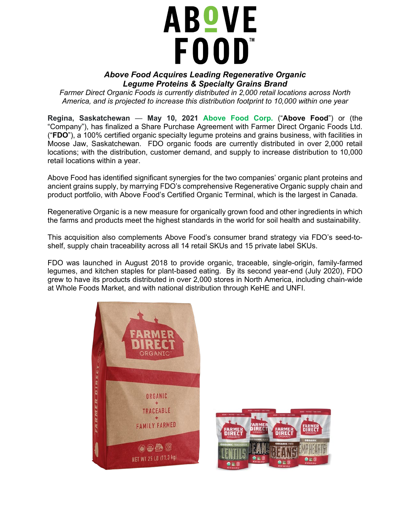## **ABOVE** FOOD"

## *Above Food Acquires Leading Regenerative Organic Legume Proteins & Specialty Grains Brand*

*Farmer Direct Organic Foods is currently distributed in 2,000 retail locations across North America, and is projected to increase this distribution footprint to 10,000 within one year*

**Regina, Saskatchewan** — **May 10, 2021 [Above Food Corp.](https://abovefood.ca/)** ("**Above Food**") or (the "Company"), has finalized a Share Purchase Agreement with Farmer Direct Organic Foods Ltd. ("**FDO**"), a 100% certified organic specialty legume proteins and grains business, with facilities in Moose Jaw, Saskatchewan. FDO organic foods are currently distributed in over 2,000 retail locations; with the distribution, customer demand, and supply to increase distribution to 10,000 retail locations within a year.

Above Food has identified significant synergies for the two companies' organic plant proteins and ancient grains supply, by marrying FDO's comprehensive Regenerative Organic supply chain and product portfolio, with Above Food's Certified Organic Terminal, which is the largest in Canada.

Regenerative Organic is a new measure for organically grown food and other ingredients in which the farms and products meet the highest standards in the world for soil health and sustainability.

This acquisition also complements Above Food's consumer brand strategy via FDO's seed-toshelf, supply chain traceability across all 14 retail SKUs and 15 private label SKUs.

FDO was launched in August 2018 to provide organic, traceable, single-origin, family-farmed legumes, and kitchen staples for plant-based eating. By its second year-end (July 2020), FDO grew to have its products distributed in over 2,000 stores in North America, including chain-wide at Whole Foods Market, and with national distribution through KeHE and UNFI.



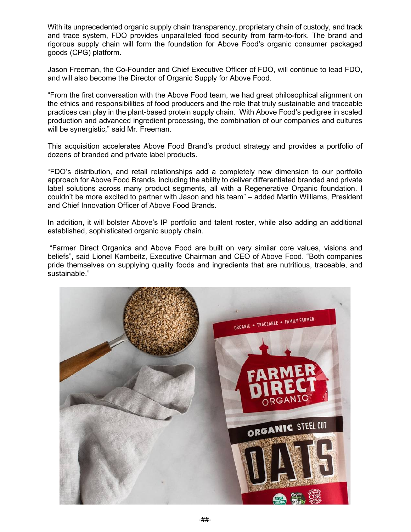With its unprecedented organic supply chain transparency, proprietary chain of custody, and track and trace system, FDO provides unparalleled food security from farm-to-fork. The brand and rigorous supply chain will form the foundation for Above Food's organic consumer packaged goods (CPG) platform.

Jason Freeman, the Co-Founder and Chief Executive Officer of FDO, will continue to lead FDO, and will also become the Director of Organic Supply for Above Food.

"From the first conversation with the Above Food team, we had great philosophical alignment on the ethics and responsibilities of food producers and the role that truly sustainable and traceable practices can play in the plant-based protein supply chain. With Above Food's pedigree in scaled production and advanced ingredient processing, the combination of our companies and cultures will be synergistic," said Mr. Freeman.

This acquisition accelerates Above Food Brand's product strategy and provides a portfolio of dozens of branded and private label products.

"FDO's distribution, and retail relationships add a completely new dimension to our portfolio approach for Above Food Brands, including the ability to deliver differentiated branded and private label solutions across many product segments, all with a Regenerative Organic foundation. I couldn't be more excited to partner with Jason and his team" – added Martin Williams, President and Chief Innovation Officer of Above Food Brands.

In addition, it will bolster Above's IP portfolio and talent roster, while also adding an additional established, sophisticated organic supply chain.

"Farmer Direct Organics and Above Food are built on very similar core values, visions and beliefs", said Lionel Kambeitz, Executive Chairman and CEO of Above Food. "Both companies pride themselves on supplying quality foods and ingredients that are nutritious, traceable, and sustainable."